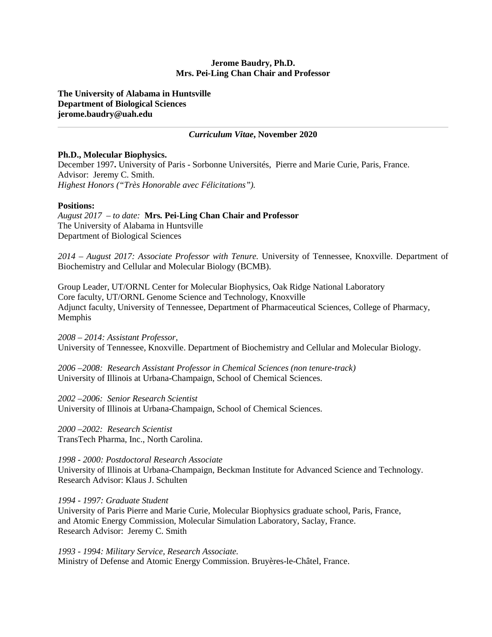### **Jerome Baudry, Ph.D. Mrs. Pei-Ling Chan Chair and Professor**

**The University of Alabama in Huntsville Department of Biological Sciences jerome.baudry@uah.edu** 

#### *Curriculum Vitae***, November 2020**

#### **Ph.D., Molecular Biophysics.**

December 1997**.** University of Paris - Sorbonne Universités, Pierre and Marie Curie, Paris, France. Advisor: Jeremy C. Smith. *Highest Honors ("Très Honorable avec Félicitations").*

#### **Positions:**

*August 2017 – to date:* **Mrs***.* **Pei-Ling Chan Chair and Professor** The University of Alabama in Huntsville Department of Biological Sciences

*2014 – August 2017: Associate Professor with Tenure.* University of Tennessee, Knoxville. Department of Biochemistry and Cellular and Molecular Biology (BCMB).

Group Leader, UT/ORNL Center for Molecular Biophysics, Oak Ridge National Laboratory Core faculty, UT/ORNL Genome Science and Technology, Knoxville Adjunct faculty, University of Tennessee, Department of Pharmaceutical Sciences, College of Pharmacy, Memphis

*2008 – 2014: Assistant Professor,* University of Tennessee, Knoxville. Department of Biochemistry and Cellular and Molecular Biology.

*2006 –2008: Research Assistant Professor in Chemical Sciences (non tenure-track)* University of Illinois at Urbana-Champaign, School of Chemical Sciences.

*2002 –2006: Senior Research Scientist* University of Illinois at Urbana-Champaign, School of Chemical Sciences.

*2000 –2002: Research Scientist* TransTech Pharma, Inc., North Carolina.

*1998 - 2000: Postdoctoral Research Associate* University of Illinois at Urbana-Champaign, Beckman Institute for Advanced Science and Technology. Research Advisor: Klaus J. Schulten

#### *1994 - 1997: Graduate Student*

University of Paris Pierre and Marie Curie, Molecular Biophysics graduate school, Paris, France, and Atomic Energy Commission, Molecular Simulation Laboratory, Saclay, France. Research Advisor: Jeremy C. Smith

*1993 - 1994: Military Service, Research Associate.* Ministry of Defense and Atomic Energy Commission. Bruyères-le-Châtel, France.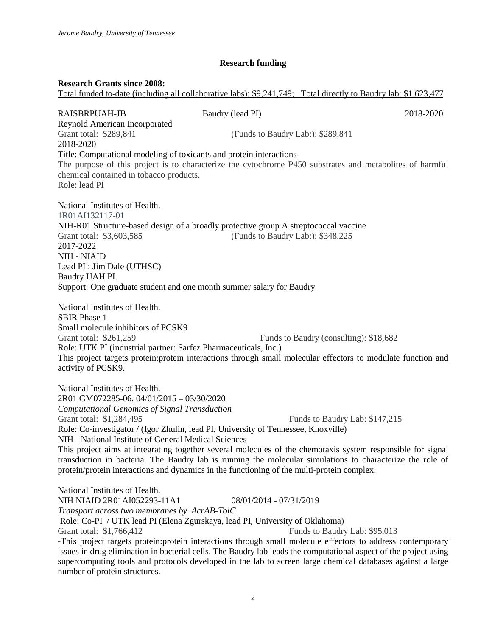# **Research funding**

### **Research Grants since 2008:**

Total funded to-date (including all collaborative labs): \$9,241,749; Total directly to Baudry lab: \$1,623,477

| <b>RAISBRPUAH-JB</b>                                                                                                                                                                                                                                                                                                                                                                                 | Baudry (lead PI)                  | 2018-2020                                                                                                                                                                                                                                                  |
|------------------------------------------------------------------------------------------------------------------------------------------------------------------------------------------------------------------------------------------------------------------------------------------------------------------------------------------------------------------------------------------------------|-----------------------------------|------------------------------------------------------------------------------------------------------------------------------------------------------------------------------------------------------------------------------------------------------------|
| Reynold American Incorporated<br>Grant total: \$289,841<br>2018-2020                                                                                                                                                                                                                                                                                                                                 | (Funds to Baudry Lab:): \$289,841 |                                                                                                                                                                                                                                                            |
| Title: Computational modeling of toxicants and protein interactions<br>chemical contained in tobacco products.<br>Role: lead PI                                                                                                                                                                                                                                                                      |                                   | The purpose of this project is to characterize the cytochrome P450 substrates and metabolites of harmful                                                                                                                                                   |
| National Institutes of Health.<br>1R01AI132117-01<br>NIH-R01 Structure-based design of a broadly protective group A streptococcal vaccine<br>Grant total: \$3,603,585<br>2017-2022<br><b>NIH - NIAID</b>                                                                                                                                                                                             | (Funds to Baudry Lab:): \$348,225 |                                                                                                                                                                                                                                                            |
| Lead PI : Jim Dale (UTHSC)<br>Baudry UAH PI.<br>Support: One graduate student and one month summer salary for Baudry                                                                                                                                                                                                                                                                                 |                                   |                                                                                                                                                                                                                                                            |
| National Institutes of Health.<br><b>SBIR Phase 1</b><br>Small molecule inhibitors of PCSK9<br>Grant total: \$261,259<br>Role: UTK PI (industrial partner: Sarfez Pharmaceuticals, Inc.)<br>activity of PCSK9.                                                                                                                                                                                       |                                   | Funds to Baudry (consulting): \$18,682<br>This project targets protein: protein interactions through small molecular effectors to modulate function and                                                                                                    |
| National Institutes of Health.<br>2R01 GM072285-06. 04/01/2015 - 03/30/2020<br>Computational Genomics of Signal Transduction<br>Grant total: \$1,284,495<br>Role: Co-investigator / (Igor Zhulin, lead PI, University of Tennessee, Knoxville)<br>NIH - National Institute of General Medical Sciences<br>protein/protein interactions and dynamics in the functioning of the multi-protein complex. |                                   | Funds to Baudry Lab: \$147,215<br>This project aims at integrating together several molecules of the chemotaxis system responsible for signal<br>transduction in bacteria. The Baudry lab is running the molecular simulations to characterize the role of |
| National Institutes of Health.<br>NIH NIAID 2R01AI052293-11A1<br>Transport across two membranes by AcrAB-TolC<br>Role: Co-PI / UTK lead PI (Elena Zgurskaya, lead PI, University of Oklahoma)<br>Grant total: \$1,766,412                                                                                                                                                                            | 08/01/2014 - 07/31/2019           | Funds to Baudry Lab: \$95,013<br>-This project targets protein: protein interactions through small molecule effectors to address contemporary                                                                                                              |

issues in drug elimination in bacterial cells. The Baudry lab leads the computational aspect of the project using supercomputing tools and protocols developed in the lab to screen large chemical databases against a large number of protein structures.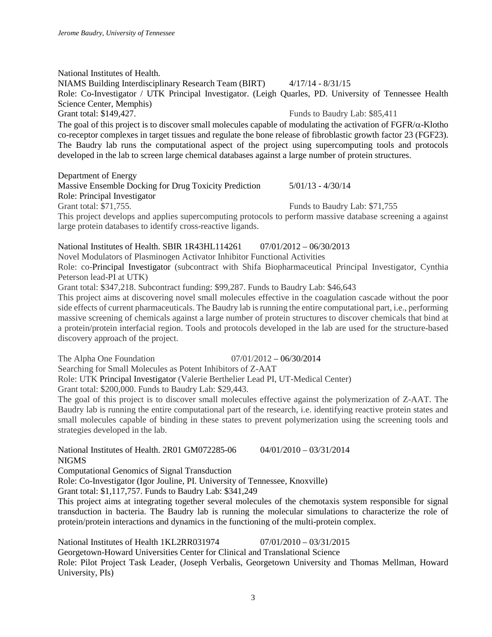National Institutes of Health. NIAMS Building Interdisciplinary Research Team (BIRT) 4/17/14 - 8/31/15 Role: Co-Investigator / UTK Principal Investigator. (Leigh Quarles, PD. University of Tennessee Health Science Center, Memphis) Grant total: \$149,427. Funds to Baudry Lab: \$85,411 The goal of this project is to discover small molecules capable of modulating the activation of  $FGFR/\alpha$ -Klotho co-receptor complexes in target tissues and regulate the bone release of fibroblastic growth factor 23 (FGF23). The Baudry lab runs the computational aspect of the project using supercomputing tools and protocols developed in the lab to screen large chemical databases against a large number of protein structures.

Department of Energy

Massive Ensemble Docking for Drug Toxicity Prediction 5/01/13 - 4/30/14 Role: Principal Investigator Grant total: \$71,755. Funds to Baudry Lab: \$71,755

This project develops and applies supercomputing protocols to perform massive database screening a against large protein databases to identify cross-reactive ligands.

# National Institutes of Health. SBIR 1R43HL114261 07/01/2012 – 06/30/2013

Novel Modulators of Plasminogen Activator Inhibitor Functional Activities

Role: co-Principal Investigator (subcontract with Shifa Biopharmaceutical Principal Investigator, Cynthia Peterson lead-PI at UTK)

Grant total: \$347,218. Subcontract funding: \$99,287. Funds to Baudry Lab: \$46,643

This project aims at discovering novel small molecules effective in the coagulation cascade without the poor side effects of current pharmaceuticals. The Baudry lab is running the entire computational part, i.e., performing massive screening of chemicals against a large number of protein structures to discover chemicals that bind at a protein/protein interfacial region. Tools and protocols developed in the lab are used for the structure-based discovery approach of the project.

The Alpha One Foundation  $07/01/2012 - 06/30/2014$ 

Searching for Small Molecules as Potent Inhibitors of Z-AAT

Role: UTK Principal Investigator (Valerie Berthelier Lead PI, UT-Medical Center)

Grant total: \$200,000. Funds to Baudry Lab: \$29,443.

The goal of this project is to discover small molecules effective against the polymerization of Z-AAT. The Baudry lab is running the entire computational part of the research, i.e. identifying reactive protein states and small molecules capable of binding in these states to prevent polymerization using the screening tools and strategies developed in the lab.

National Institutes of Health. 2R01 GM072285-06 04/01/2010 – 03/31/2014 NIGMS

Computational Genomics of Signal Transduction

Role: Co-Investigator (Igor Jouline, PI. University of Tennessee, Knoxville)

Grant total: \$1,117,757. Funds to Baudry Lab: \$341,249

This project aims at integrating together several molecules of the chemotaxis system responsible for signal transduction in bacteria. The Baudry lab is running the molecular simulations to characterize the role of protein/protein interactions and dynamics in the functioning of the multi-protein complex.

National Institutes of Health 1KL2RR031974 07/01/2010 – 03/31/2015 Georgetown-Howard Universities Center for Clinical and Translational Science Role: Pilot Project Task Leader, (Joseph Verbalis, Georgetown University and Thomas Mellman, Howard University, PIs)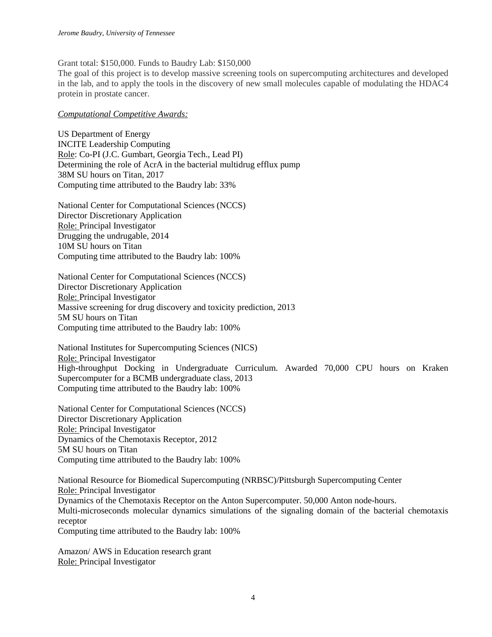Grant total: \$150,000. Funds to Baudry Lab: \$150,000

The goal of this project is to develop massive screening tools on supercomputing architectures and developed in the lab, and to apply the tools in the discovery of new small molecules capable of modulating the HDAC4 protein in prostate cancer.

#### *Computational Competitive Awards:*

US Department of Energy INCITE Leadership Computing Role: Co-PI (J.C. Gumbart, Georgia Tech., Lead PI) Determining the role of AcrA in the bacterial multidrug efflux pump 38M SU hours on Titan, 2017 Computing time attributed to the Baudry lab: 33%

National Center for Computational Sciences (NCCS) Director Discretionary Application Role: Principal Investigator Drugging the undrugable, 2014 10M SU hours on Titan Computing time attributed to the Baudry lab: 100%

National Center for Computational Sciences (NCCS) Director Discretionary Application Role: Principal Investigator Massive screening for drug discovery and toxicity prediction, 2013 5M SU hours on Titan Computing time attributed to the Baudry lab: 100%

National Institutes for Supercomputing Sciences (NICS) Role: Principal Investigator High-throughput Docking in Undergraduate Curriculum. Awarded 70,000 CPU hours on Kraken Supercomputer for a BCMB undergraduate class, 2013 Computing time attributed to the Baudry lab: 100%

National Center for Computational Sciences (NCCS) Director Discretionary Application Role: Principal Investigator Dynamics of the Chemotaxis Receptor, 2012 5M SU hours on Titan Computing time attributed to the Baudry lab: 100%

National Resource for Biomedical Supercomputing (NRBSC)/Pittsburgh Supercomputing Center Role: Principal Investigator Dynamics of the Chemotaxis Receptor on the Anton Supercomputer. 50,000 Anton node-hours. Multi-microseconds molecular dynamics simulations of the signaling domain of the bacterial chemotaxis receptor Computing time attributed to the Baudry lab: 100%

Amazon/ AWS in Education research grant Role: Principal Investigator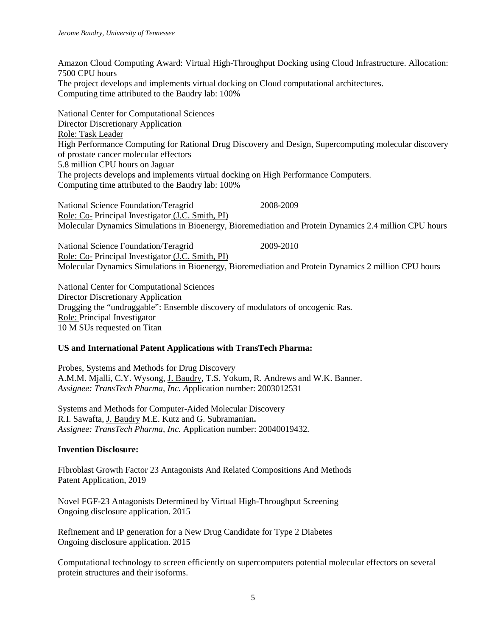Amazon Cloud Computing Award: Virtual High-Throughput Docking using Cloud Infrastructure. Allocation: 7500 CPU hours The project develops and implements virtual docking on Cloud computational architectures. Computing time attributed to the Baudry lab: 100%

National Center for Computational Sciences Director Discretionary Application Role: Task Leader High Performance Computing for Rational Drug Discovery and Design, Supercomputing molecular discovery of prostate cancer molecular effectors 5.8 million CPU hours on Jaguar The projects develops and implements virtual docking on High Performance Computers. Computing time attributed to the Baudry lab: 100%

National Science Foundation/Teragrid 2008-2009 Role: Co- Principal Investigator (J.C. Smith, PI) Molecular Dynamics Simulations in Bioenergy, Bioremediation and Protein Dynamics 2.4 million CPU hours

National Science Foundation/Teragrid 2009-2010 Role: Co- Principal Investigator (J.C. Smith, PI) Molecular Dynamics Simulations in Bioenergy, Bioremediation and Protein Dynamics 2 million CPU hours

National Center for Computational Sciences Director Discretionary Application Drugging the "undruggable": Ensemble discovery of modulators of oncogenic Ras. Role: Principal Investigator 10 M SUs requested on Titan

## **US and International Patent Applications with TransTech Pharma:**

Probes, Systems and Methods for Drug Discovery A.M.M. Mjalli, C.Y. Wysong, J. Baudry, T.S. Yokum, R. Andrews and W.K. Banner. *Assignee: TransTech Pharma, Inc. A*pplication number: 2003012531

Systems and Methods for Computer-Aided Molecular Discovery R.I. Sawafta, J. Baudry M.E. Kutz and G. Subramanian**.** *Assignee: TransTech Pharma, Inc.* Application number: 20040019432*.*

# **Invention Disclosure:**

Fibroblast Growth Factor 23 Antagonists And Related Compositions And Methods Patent Application, 2019

Novel FGF-23 Antagonists Determined by Virtual High-Throughput Screening Ongoing disclosure application. 2015

Refinement and IP generation for a New Drug Candidate for Type 2 Diabetes Ongoing disclosure application. 2015

Computational technology to screen efficiently on supercomputers potential molecular effectors on several protein structures and their isoforms.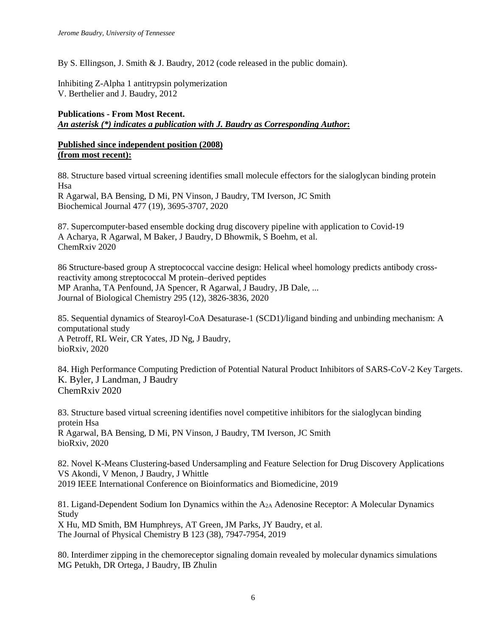By S. Ellingson, J. Smith & J. Baudry, 2012 (code released in the public domain).

Inhibiting Z-Alpha 1 antitrypsin polymerization V. Berthelier and J. Baudry, 2012

# **Publications - From Most Recent.**  *An asterisk (\*) indicates a publication with J. Baudry as Corresponding Author***:**

# **Published since independent position (2008) (from most recent):**

88. Structure based virtual screening identifies small molecule effectors for the sialoglycan binding protein Hsa

R Agarwal, BA Bensing, D Mi, PN Vinson, J Baudry, TM Iverson, JC Smith Biochemical Journal 477 (19), 3695-3707, 2020

87. Supercomputer-based ensemble docking drug discovery pipeline with application to Covid-19 A Acharya, R Agarwal, M Baker, J Baudry, D Bhowmik, S Boehm, et al. ChemRxiv 2020

86 Structure-based group A streptococcal vaccine design: Helical wheel homology predicts antibody crossreactivity among streptococcal M protein–derived peptides MP Aranha, TA Penfound, JA Spencer, R Agarwal, J Baudry, JB Dale, ... Journal of Biological Chemistry 295 (12), 3826-3836, 2020

85. Sequential dynamics of Stearoyl-CoA Desaturase-1 (SCD1)/ligand binding and unbinding mechanism: A computational study A Petroff, RL Weir, CR Yates, JD Ng, J Baudry, bioRxiv, 2020

84. High Performance Computing Prediction of Potential Natural Product Inhibitors of SARS-CoV-2 Key Targets. K. Byler, J Landman, J Baudry ChemRxiv 2020

83. Structure based virtual screening identifies novel competitive inhibitors for the sialoglycan binding protein Hsa R Agarwal, BA Bensing, D Mi, PN Vinson, J Baudry, TM Iverson, JC Smith bioRxiv, 2020

82. Novel K-Means Clustering-based Undersampling and Feature Selection for Drug Discovery Applications VS Akondi, V Menon, J Baudry, J Whittle 2019 IEEE International Conference on Bioinformatics and Biomedicine, 2019

81. Ligand-Dependent Sodium Ion Dynamics within the A<sub>2A</sub> Adenosine Receptor: A Molecular Dynamics Study

X Hu, MD Smith, BM Humphreys, AT Green, JM Parks, JY Baudry, et al. The Journal of Physical Chemistry B 123 (38), 7947-7954, 2019

80. Interdimer zipping in the chemoreceptor signaling domain revealed by molecular dynamics simulations MG Petukh, DR Ortega, J Baudry, IB Zhulin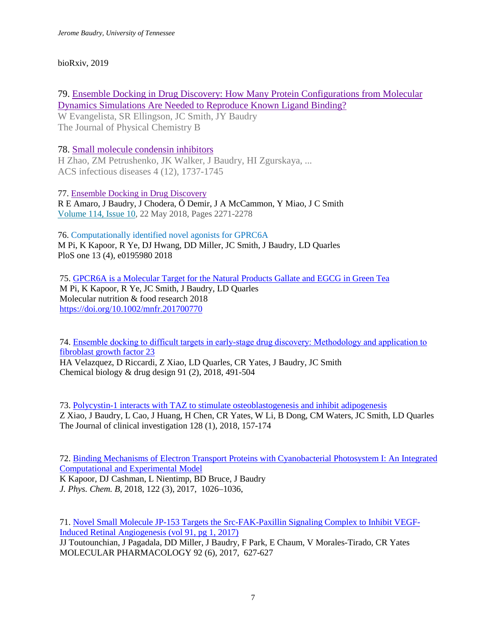# bioRxiv, 2019

79. [Ensemble Docking in Drug Discovery: How Many Protein Configurations from Molecular](javascript:void(0))  [Dynamics Simulations Are Needed to Reproduce Known Ligand Binding?](javascript:void(0))

W Evangelista, SR Ellingson, JC Smith, JY Baudry The Journal of Physical Chemistry B

# 78. [Small molecule condensin inhibitors](javascript:void(0))

H Zhao, ZM Petrushenko, JK Walker, J Baudry, HI Zgurskaya, ... ACS infectious diseases 4 (12), 1737-1745

77. [Ensemble Docking in Drug Discovery](https://www.sciencedirect.com/science/article/pii/S0006349518303242) R E Amaro, J Baudry, J Chodera, Ö Demir, J A McCammon, Y Miao, J C Smith [Volume 114, Issue 10,](https://www.sciencedirect.com/science/journal/00063495/114/10) 22 May 2018, Pages 2271-2278

76. [Computationally identified novel agonists for GPRC6A](javascript:void(0)) M Pi, K Kapoor, R Ye, DJ Hwang, DD Miller, JC Smith, J Baudry, LD Quarles PloS one 13 (4), e0195980 2018

75[. GPCR6A is a Molecular Target for the Natural Products Gallate and EGCG in Green Tea](javascript:void(0)) M Pi, K Kapoor, R Ye, JC Smith, J Baudry, LD Quarles Molecular nutrition & food research 2018 <https://doi.org/10.1002/mnfr.201700770>

74. [Ensemble docking to difficult targets in early‐stage drug discovery: Methodology and application to](javascript:void(0))  [fibroblast growth factor 23](javascript:void(0))

HA Velazquez, D Riccardi, Z Xiao, LD Quarles, CR Yates, J Baudry, JC Smith Chemical biology & drug design 91 (2), 2018, 491-504

73[. Polycystin-1 interacts with TAZ to stimulate osteoblastogenesis and inhibit adipogenesis](javascript:void(0)) Z Xiao, J Baudry, L Cao, J Huang, H Chen, CR Yates, W Li, B Dong, CM Waters, JC Smith, LD Quarles The Journal of clinical investigation 128 (1), 2018, 157-174

72[. Binding Mechanisms of Electron Transport Proteins with Cyanobacterial Photosystem I: An Integrated](javascript:void(0))  [Computational and Experimental Model](javascript:void(0))

K Kapoor, DJ Cashman, L Nientimp, BD Bruce, J Baudry *J. Phys. Chem. B*, 2018, 122 (3), 2017, 1026–1036,

71[. Novel Small Molecule JP-153 Targets the Src-FAK-Paxillin Signaling Complex to Inhibit VEGF-](javascript:void(0))[Induced Retinal Angiogenesis \(vol 91, pg 1, 2017\)](javascript:void(0)) JJ Toutounchian, J Pagadala, DD Miller, J Baudry, F Park, E Chaum, V Morales-Tirado, CR Yates MOLECULAR PHARMACOLOGY 92 (6), 2017, 627-627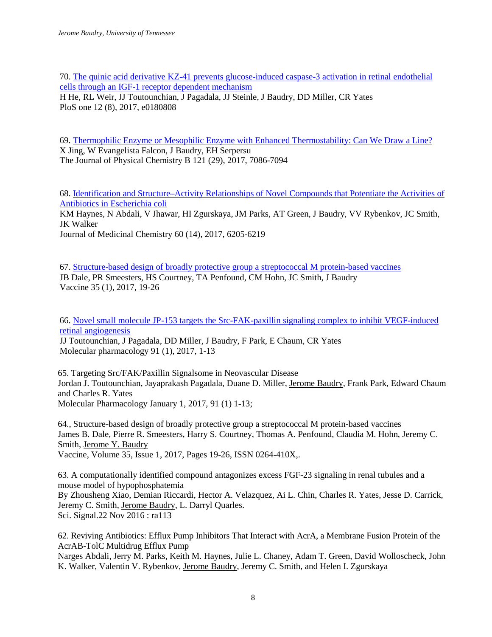70[. The quinic acid derivative KZ-41 prevents glucose-induced caspase-3 activation in retinal endothelial](javascript:void(0))  [cells through an IGF-1 receptor dependent mechanism](javascript:void(0)) H He, RL Weir, JJ Toutounchian, J Pagadala, JJ Steinle, J Baudry, DD Miller, CR Yates PloS one 12 (8), 2017, e0180808

69[. Thermophilic Enzyme or Mesophilic Enzyme with Enhanced Thermostability: Can We Draw a Line?](javascript:void(0)) X Jing, W Evangelista Falcon, J Baudry, EH Serpersu The Journal of Physical Chemistry B 121 (29), 2017, 7086-7094

68[. Identification and Structure–Activity Relationships of Novel Compounds that Potentiate the Activities of](javascript:void(0))  [Antibiotics in Escherichia coli](javascript:void(0))

KM Haynes, N Abdali, V Jhawar, HI Zgurskaya, JM Parks, AT Green, J Baudry, VV Rybenkov, JC Smith, JK Walker

Journal of Medicinal Chemistry 60 (14), 2017, 6205-6219

67[. Structure-based design of broadly protective group a streptococcal M protein-based vaccines](javascript:void(0)) JB Dale, PR Smeesters, HS Courtney, TA Penfound, CM Hohn, JC Smith, J Baudry Vaccine 35 (1), 2017, 19-26

66[. Novel small molecule JP-153 targets the Src-FAK-paxillin signaling complex to inhibit VEGF-induced](javascript:void(0))  [retinal angiogenesis](javascript:void(0))

JJ Toutounchian, J Pagadala, DD Miller, J Baudry, F Park, E Chaum, CR Yates Molecular pharmacology 91 (1), 2017, 1-13

65. Targeting Src/FAK/Paxillin Signalsome in Neovascular Disease Jordan J. Toutounchian, Jayaprakash Pagadala, Duane D. Miller, Jerome Baudry, Frank Park, Edward Chaum and Charles R. Yates Molecular Pharmacology January 1, 2017, 91 (1) 1-13;

64., Structure-based design of broadly protective group a streptococcal M protein-based vaccines James B. Dale, Pierre R. Smeesters, Harry S. Courtney, Thomas A. Penfound, Claudia M. Hohn, Jeremy C. Smith, Jerome Y. Baudry Vaccine, Volume 35, Issue 1, 2017, Pages 19-26, ISSN 0264-410X,.

63. A computationally identified compound antagonizes excess FGF-23 signaling in renal tubules and a mouse model of hypophosphatemia By Zhousheng Xiao, Demian Riccardi, Hector A. Velazquez, Ai L. Chin, Charles R. Yates, Jesse D. Carrick, Jeremy C. Smith, Jerome Baudry, L. Darryl Quarles.

Sci. Signal.22 Nov 2016 : ra113

62. Reviving Antibiotics: Efflux Pump Inhibitors That Interact with AcrA, a Membrane Fusion Protein of the AcrAB-TolC Multidrug Efflux Pump

Narges Abdali, Jerry M. Parks, Keith M. Haynes, Julie L. Chaney, Adam T. Green, David Wolloscheck, John K. Walker, Valentin V. Rybenkov, Jerome Baudry, Jeremy C. Smith, and Helen I. Zgurskaya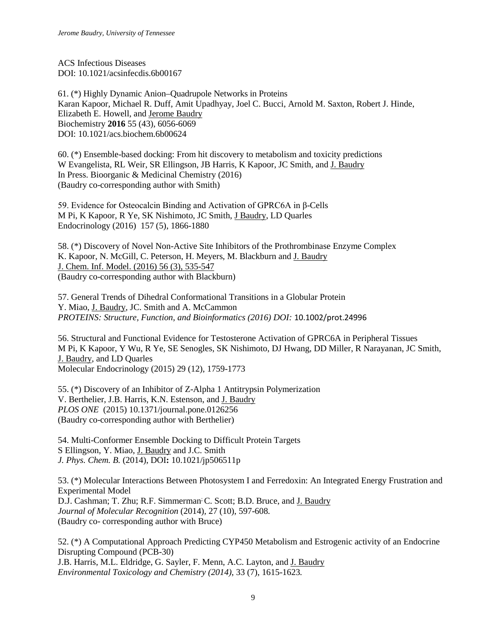ACS Infectious Diseases DOI: 10.1021/acsinfecdis.6b00167

61. (\*) Highly Dynamic Anion–Quadrupole Networks in Proteins Karan Kapoor, Michael R. Duff, Amit Upadhyay, Joel C. Bucci, Arnold M. Saxton, Robert J. Hinde, Elizabeth E. Howell, and Jerome Baudry Biochemistry **2016** 55 (43), 6056-6069 DOI: 10.1021/acs.biochem.6b00624

60. (\*) Ensemble-based docking: From hit discovery to metabolism and toxicity predictions W Evangelista, RL Weir, SR Ellingson, JB Harris, K Kapoor, JC Smith, and J. Baudry In Press. Bioorganic & Medicinal Chemistry (2016) (Baudry co-corresponding author with Smith)

59. Evidence for Osteocalcin Binding and Activation of GPRC6A in β-Cells M Pi, K Kapoor, R Ye, SK Nishimoto, JC Smith, J Baudry, LD Quarles Endocrinology (2016) 157 (5), 1866-1880

58. (\*) Discovery of Novel Non-Active Site Inhibitors of the Prothrombinase Enzyme Complex K. Kapoor, N. McGill, C. Peterson, H. Meyers, M. Blackburn and J. Baudry J. Chem. Inf. Model. (2016) 56 (3), 535-547 (Baudry co-corresponding author with Blackburn)

57. General Trends of Dihedral Conformational Transitions in a Globular Protein Y. Miao, J. Baudry, JC. Smith and A. McCammon *PROTEINS: Structure, Function, and Bioinformatics (2016) DOI:* 10.1002/prot.24996

56. [Structural and Functional Evidence for Testosterone Activation of GPRC6A in Peripheral Tissues](https://scholar.google.com/citations?view_op=view_citation&hl=en&user=yGqMp3sAAAAJ&sortby=pubdate&citation_for_view=yGqMp3sAAAAJ:lSLTfruPkqcC) M Pi, K Kapoor, Y Wu, R Ye, SE Senogles, SK Nishimoto, DJ Hwang, DD Miller, R Narayanan, JC Smith, J. Baudry, and LD Quarles Molecular Endocrinology (2015) 29 (12), 1759-1773

55. (\*) Discovery of an Inhibitor of Z-Alpha 1 Antitrypsin Polymerization V. Berthelier, J.B. Harris, K.N. Estenson, and J. Baudry *PLOS ONE* (2015) 10.1371/journal.pone.0126256 (Baudry co-corresponding author with Berthelier)

54. Multi-Conformer Ensemble Docking to Difficult Protein Targets S Ellingson, Y. Miao, J. Baudry and J.C. Smith *J. Phys. Chem. B.* (2014), DOI**:** 10.1021/jp506511p

53. (\*) Molecular Interactions Between Photosystem I and Ferredoxin: An Integrated Energy Frustration and Experimental Model D.J. Cashman; T. Zhu; R.F. Simmerman; C. Scott; B.D. Bruce, and J. Baudry *Journal of Molecular Recognition* (2014)*,* 27 (10), 597-608*.* (Baudry co- corresponding author with Bruce)

52. (\*) A Computational Approach Predicting CYP450 Metabolism and Estrogenic activity of an Endocrine Disrupting Compound (PCB-30) J.B. Harris, M.L. Eldridge, G. Sayler, F. Menn, A.C. Layton, and J. Baudry *Environmental Toxicology and Chemistry (2014)*, 33 (7), 1615-1623*.*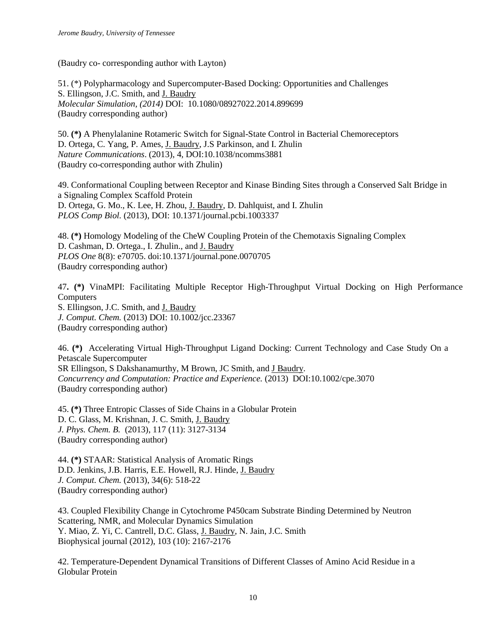(Baudry co- corresponding author with Layton)

51. (\*) Polypharmacology and Supercomputer-Based Docking: Opportunities and Challenges S. Ellingson, J.C. Smith, and J. Baudry *Molecular Simulation, (2014)* DOI: 10.1080/08927022.2014.899699 (Baudry corresponding author)

50. **(\*)** A Phenylalanine Rotameric Switch for Signal-State Control in Bacterial Chemoreceptors D. Ortega, C. Yang, P. Ames, J. Baudry, J.S Parkinson, and I. Zhulin *Nature Communications*. (2013), 4, DOI:10.1038/ncomms3881 (Baudry co-corresponding author with Zhulin)

49. Conformational Coupling between Receptor and Kinase Binding Sites through a Conserved Salt Bridge in a Signaling Complex Scaffold Protein D. Ortega, G. Mo., K. Lee, H. Zhou, J. Baudry, D. Dahlquist, and I. Zhulin *PLOS Comp Biol.* (2013), DOI: 10.1371/journal.pcbi.1003337

48. **(\*)** Homology Modeling of the CheW Coupling Protein of the Chemotaxis Signaling Complex D. Cashman, D. Ortega., I. Zhulin., and J. Baudry *PLOS One* 8(8): e70705. doi:10.1371/journal.pone.0070705 (Baudry corresponding author)

47**. (\*)** VinaMPI: Facilitating Multiple Receptor High-Throughput Virtual Docking on High Performance **Computers** S. Ellingson, J.C. Smith, and J. Baudry *J. Comput. Chem.* (2013) DOI: 10.1002/jcc.23367 (Baudry corresponding author)

46. **(\*)** Accelerating Virtual High‐[Throughput Ligand Docking: Current Technology and Case Study On a](http://scholar.google.com/citations?view_op=view_citation&hl=en&user=yGqMp3sAAAAJ&sortby=pubdate&citation_for_view=yGqMp3sAAAAJ:TFP_iSt0sucC)  Petascale [Supercomputer](http://scholar.google.com/citations?view_op=view_citation&hl=en&user=yGqMp3sAAAAJ&sortby=pubdate&citation_for_view=yGqMp3sAAAAJ:TFP_iSt0sucC) SR Ellingson, S Dakshanamurthy, M Brown, JC Smith, and J Baudry. *Concurrency and Computation: Practice and Experience.* (2013) DOI:10.1002/cpe.3070 (Baudry corresponding author)

45. **(\*)** [Three Entropic Classes of Side Chains in a Globular Protein](http://scholar.google.com/citations?view_op=view_citation&hl=en&user=yGqMp3sAAAAJ&sortby=pubdate&citation_for_view=yGqMp3sAAAAJ:TQgYirikUcIC) D. C. Glass, M. Krishnan, J. C. Smith, J. Baudry *J. Phys. Chem. B.* (2013), 117 (11): 3127-3134 (Baudry corresponding author)

44. **(\*)** STAAR: Statistical Analysis of Aromatic Rings D.D. Jenkins, J.B. Harris, E.E. Howell, R.J. Hinde, J. Baudry *J. Comput. Chem.* (2013), 34(6): 518-22 (Baudry corresponding author)

43. Coupled Flexibility Change in Cytochrome P450cam Substrate Binding Determined by Neutron Scattering, NMR, and Molecular Dynamics Simulation Y. Miao, Z. Yi, C. Cantrell, D.C. Glass, J. Baudry, N. Jain, J.C. Smith Biophysical journal (2012), 103 (10): 2167-2176

42. [Temperature-Dependent Dynamical Transitions of Different Classes of Amino Acid Residue in a](http://scholar.google.com/citations?view_op=view_citation&hl=en&user=yGqMp3sAAAAJ&sortby=pubdate&citation_for_view=yGqMp3sAAAAJ:hFOr9nPyWt4C)  [Globular Protein](http://scholar.google.com/citations?view_op=view_citation&hl=en&user=yGqMp3sAAAAJ&sortby=pubdate&citation_for_view=yGqMp3sAAAAJ:hFOr9nPyWt4C)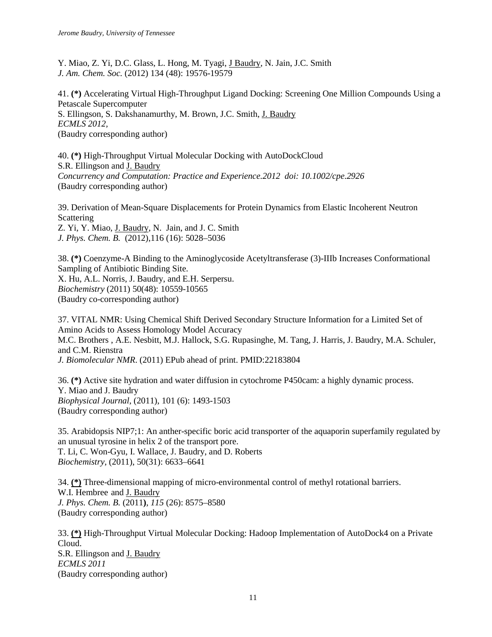Y. Miao, Z. Yi, D.C. Glass, L. Hong, M. Tyagi, J Baudry, N. Jain, J.C. Smith *J. Am. Chem. Soc.* (2012) 134 (48): 19576-19579

41. **(\*)** Accelerating Virtual High-Throughput Ligand Docking: Screening One Million Compounds Using a Petascale Supercomputer S. Ellingson, S. Dakshanamurthy, M. Brown, J.C. Smith, J. Baudry *ECMLS 2012,*  (Baudry corresponding author)

40. **(\*)** High-Throughput Virtual Molecular Docking with AutoDockCloud S.R. Ellingson and J. Baudry *Concurrency and Computation: Practice and Experience.2012 doi: 10.1002/cpe.2926* (Baudry corresponding author)

39. Derivation of Mean-Square Displacements for [Protein Dynamics from Elastic Incoherent Neutron](http://pubs.acs.org/doi/abs/10.1021/jp2102868?prevSearch=baudry&searchHistoryKey=)  [Scattering](http://pubs.acs.org/doi/abs/10.1021/jp2102868?prevSearch=baudry&searchHistoryKey=) Z. Yi, Y. Miao, J. Baudry, N. Jain, and J. C. Smith *J. Phys. Chem. B.* (2012),116 (16): 5028–5036

38. **(\*)** Coenzyme-A Binding to the Aminoglycoside Acetyltransferase (3)-IIIb Increases Conformational Sampling of Antibiotic Binding Site. X. Hu, A.L. Norris, J. Baudry, and E.H. Serpersu. *Biochemistry* (2011) 50(48): 10559-10565 (Baudry co-corresponding author)

37. VITAL NMR: Using Chemical Shift Derived Secondary Structure Information for a Limited Set of Amino Acids to Assess Homology Model Accuracy M.C. Brothers , A.E. Nesbitt, M.J. Hallock, S.G. Rupasinghe, M. Tang, J. Harris, J. Baudry, M.A. Schuler, and C.M. Rienstra *J. Biomolecular NMR*. (2011) EPub ahead of print. PMID:22183804

36. **(\*)** Active site hydration and water diffusion in cytochrome P450cam: a highly dynamic process. Y. Miao and J. Baudry *Biophysical Journal*, (2011), 101 (6): 1493-1503 (Baudry corresponding author)

35. Arabidopsis NIP7;1: An anther-specific boric acid transporter of the aquaporin superfamily regulated by an unusual tyrosine in helix 2 of the transport pore. T. Li, C. Won-Gyu, I. Wallace, J. Baudry, and D. Roberts *Biochemistry*, (2011), 50(31): 6633–6641

34. **(\*)** Three-dimensional mapping of micro-environmental control of methyl rotational barriers. W.I. Hembree and J. Baudry *J. Phys. Chem. B.* (2011**)**, *115* (26): 8575–8580 (Baudry corresponding author)

33. **(\*)** High-Throughput Virtual Molecular Docking: Hadoop Implementation of AutoDock4 on a Private Cloud. S.R. Ellingson and J. Baudry *ECMLS 2011* (Baudry corresponding author)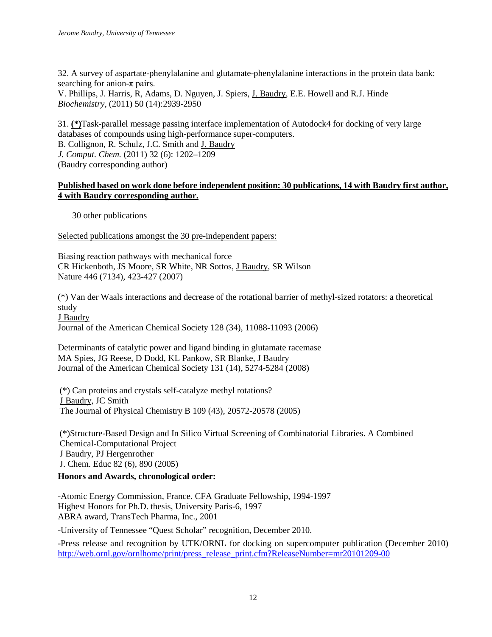32. A survey of aspartate-phenylalanine and glutamate-phenylalanine interactions in the protein data bank: searching for anion- $\pi$  pairs. V. Phillips, J. Harris, R, Adams, D. Nguyen, J. Spiers, J. Baudry, E.E. Howell and R.J. Hinde

*Biochemistry*, (2011) 50 (14):2939-2950

31. **(\*)**Task-parallel message passing interface implementation of Autodock4 for docking of very large databases of compounds using high-performance super-computers.

B. Collignon, R. Schulz, J.C. Smith and J. Baudry

*J. Comput. Chem.* (2011) 32 (6): 1202–1209

(Baudry corresponding author)

# **Published based on work done before independent position: 30 publications, 14 with Baudry first author, 4 with Baudry corresponding author.**

30 other publications

Selected publications amongst the 30 pre-independent papers:

Biasing reaction pathways with mechanical force CR Hickenboth, JS Moore, SR White, NR Sottos, J Baudry, SR Wilson Nature 446 (7134), 423-427 (2007)

(\*) Van der Waals interactions and decrease of the rotational barrier of methyl-sized rotators: a theoretical study

J Baudry

Journal of the American Chemical Society 128 (34), 11088-11093 (2006)

Determinants of catalytic power and ligand binding in glutamate racemase MA Spies, JG Reese, D Dodd, KL Pankow, SR Blanke, J Baudry Journal of the American Chemical Society 131 (14), 5274-5284 (2008)

(\*) Can proteins and crystals self-catalyze methyl rotations? J Baudry, JC Smith The Journal of Physical Chemistry B 109 (43), 20572-20578 (2005)

(\*)Structure-Based Design and In Silico Virtual Screening of Combinatorial Libraries. A Combined Chemical-Computational Project J Baudry, PJ Hergenrother J. Chem. Educ 82 (6), 890 (2005)

# **Honors and Awards, chronological order:**

-Atomic Energy Commission, France. CFA Graduate Fellowship, 1994-1997 Highest Honors for Ph.D. thesis, University Paris-6, 1997 ABRA award, TransTech Pharma, Inc., 2001

-University of Tennessee "Quest Scholar" recognition, December 2010.

-Press release and recognition by UTK/ORNL for docking on supercomputer publication (December 2010) [http://web.ornl.gov/ornlhome/print/press\\_release\\_print.cfm?ReleaseNumber=mr20101209-00](http://web.ornl.gov/ornlhome/print/press_release_print.cfm?ReleaseNumber=mr20101209-00)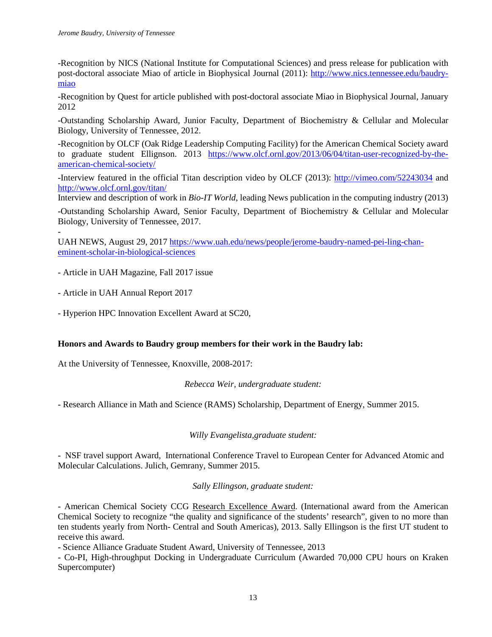-Recognition by NICS (National Institute for Computational Sciences) and press release for publication with post-doctoral associate Miao of article in Biophysical Journal (2011): [http://www.nics.tennessee.edu/baudry](http://www.nics.tennessee.edu/baudry-miao)[miao](http://www.nics.tennessee.edu/baudry-miao) 

-Recognition by Quest for article published with post-doctoral associate Miao in Biophysical Journal, January 2012

-Outstanding Scholarship Award, Junior Faculty, Department of Biochemistry & Cellular and Molecular Biology, University of Tennessee, 2012.

-Recognition by OLCF (Oak Ridge Leadership Computing Facility) for the American Chemical Society award to graduate student Ellignson. 2013 [https://www.olcf.ornl.gov/2013/06/04/titan-user-recognized-by-the](https://www.olcf.ornl.gov/2013/06/04/titan-user-recognized-by-the-american-chemical-society/)[american-chemical-society/](https://www.olcf.ornl.gov/2013/06/04/titan-user-recognized-by-the-american-chemical-society/)

-Interview featured in the official Titan description video by OLCF (2013):<http://vimeo.com/52243034> and <http://www.olcf.ornl.gov/titan/>

Interview and description of work in *Bio-IT World*, leading News publication in the computing industry (2013)

-Outstanding Scholarship Award, Senior Faculty, Department of Biochemistry & Cellular and Molecular Biology, University of Tennessee, 2017.

- UAH NEWS, August 29, 2017 [https://www.uah.edu/news/people/jerome-baudry-named-pei-ling-chan](https://www.uah.edu/news/people/jerome-baudry-named-pei-ling-chan-eminent-scholar-in-biological-sciences)[eminent-scholar-in-biological-sciences](https://www.uah.edu/news/people/jerome-baudry-named-pei-ling-chan-eminent-scholar-in-biological-sciences)

- Article in UAH Magazine, Fall 2017 issue

- Article in UAH Annual Report 2017

- Hyperion HPC Innovation Excellent Award at SC20,

## **Honors and Awards to Baudry group members for their work in the Baudry lab:**

At the University of Tennessee, Knoxville, 2008-2017:

*Rebecca Weir, undergraduate student:*

- Research Alliance in Math and Science (RAMS) Scholarship, Department of Energy, Summer 2015.

## *Willy Evangelista,graduate student:*

- NSF travel support Award, International Conference Travel to European Center for Advanced Atomic and Molecular Calculations. Julich, Gemrany, Summer 2015.

## *Sally Ellingson, graduate student:*

- American Chemical Society CCG Research Excellence Award. (International award from the American Chemical Society to recognize "the quality and significance of the students' research", given to no more than ten students yearly from North- Central and South Americas), 2013. Sally Ellingson is the first UT student to receive this award.

- Science Alliance Graduate Student Award, University of Tennessee, 2013

- Co-PI, High-throughput Docking in Undergraduate Curriculum (Awarded 70,000 CPU hours on Kraken Supercomputer)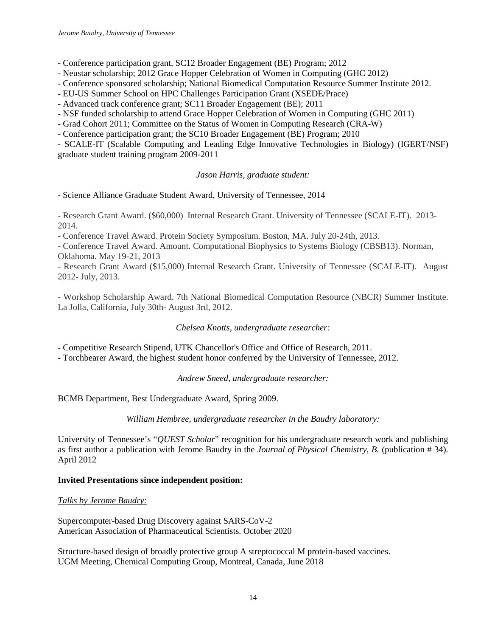- Conference participation grant, SC12 Broader Engagement (BE) Program; 2012

- Neustar scholarship; 2012 Grace Hopper Celebration of Women in Computing (GHC 2012)

- Conference sponsored scholarship; National Biomedical Computation Resource Summer Institute 2012.

- EU-US Summer School on HPC Challenges Participation Grant (XSEDE/Prace)

- Advanced track conference grant; SC11 Broader Engagement (BE); 2011

- NSF funded scholarship to attend Grace Hopper Celebration of Women in Computing (GHC 2011)

- Grad Cohort 2011; Committee on the Status of Women in Computing Research (CRA-W)

- Conference participation grant; the SC10 Broader Engagement (BE) Program; 2010

- SCALE-IT (Scalable Computing and Leading Edge Innovative Technologies in Biology) (IGERT/NSF) graduate student training program 2009-2011

# *Jason Harris, graduate student:*

- Science Alliance Graduate Student Award, University of Tennessee, 2014

- Research Grant Award. (\$60,000) Internal Research Grant. University of Tennessee (SCALE-IT). 2013- 2014.

- Conference Travel Award. Protein Society Symposium. Boston, MA. July 20-24th, 2013.

- Conference Travel Award. Amount. Computational Biophysics to Systems Biology (CBSB13). Norman, Oklahoma. May 19-21, 2013

- Research Grant Award (\$15,000) Internal Research Grant. University of Tennessee (SCALE-IT). August 2012- July, 2013.

- Workshop Scholarship Award. 7th National Biomedical Computation Resource (NBCR) Summer Institute. La Jolla, California, July 30th- August 3rd, 2012.

# *Chelsea Knotts, undergraduate researcher:*

- Competitive Research Stipend, UTK Chancellor's Office and Office of Research, 2011.

- Torchbearer Award, the highest student honor conferred by the University of Tennessee, 2012.

*Andrew Sneed, undergraduate researcher:*

BCMB Department, Best Undergraduate Award, Spring 2009.

*William Hembree, undergraduate researcher in the Baudry laboratory:*

University of Tennessee's "*QUEST Scholar*" recognition for his undergraduate research work and publishing as first author a publication with Jerome Baudry in the *Journal of Physical Chemistry, B.* (publication # 34). April 2012

## **Invited Presentations since independent position:**

## *Talks by Jerome Baudry:*

Supercomputer-based Drug Discovery against SARS-CoV-2 American Association of Pharmaceutical Scientists. October 2020

Structure-based design of broadly protective group A streptococcal M protein-based vaccines. UGM Meeting, Chemical Computing Group, Montreal, Canada, June 2018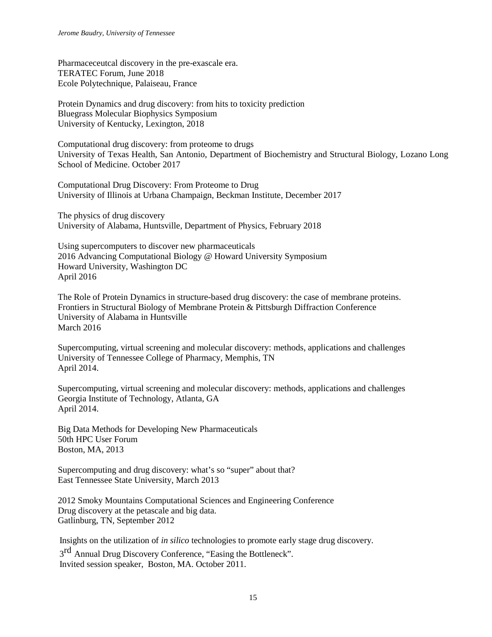Pharmaceceutcal discovery in the pre-exascale era. TERATEC Forum, June 2018 Ecole Polytechnique, Palaiseau, France

Protein Dynamics and drug discovery: from hits to toxicity prediction Bluegrass Molecular Biophysics Symposium University of Kentucky, Lexington, 2018

Computational drug discovery: from proteome to drugs University of Texas Health, San Antonio, Department of Biochemistry and Structural Biology, Lozano Long School of Medicine. October 2017

Computational Drug Discovery: From Proteome to Drug University of Illinois at Urbana Champaign, Beckman Institute, December 2017

The physics of drug discovery University of Alabama, Huntsville, Department of Physics, February 2018

Using supercomputers to discover new pharmaceuticals 2016 Advancing Computational Biology @ Howard University Symposium Howard University, Washington DC April 2016

The Role of Protein Dynamics in structure-based drug discovery: the case of membrane proteins. Frontiers in Structural Biology of Membrane Protein & Pittsburgh Diffraction Conference University of Alabama in Huntsville March 2016

Supercomputing, virtual screening and molecular discovery: methods, applications and challenges University of Tennessee College of Pharmacy, Memphis, TN April 2014.

Supercomputing, virtual screening and molecular discovery: methods, applications and challenges Georgia Institute of Technology, Atlanta, GA April 2014.

Big Data Methods for Developing New Pharmaceuticals 50th HPC User Forum Boston, MA, 2013

Supercomputing and drug discovery: what's so "super" about that? East Tennessee State University, March 2013

2012 Smoky Mountains Computational Sciences and Engineering Conference Drug discovery at the petascale and big data. Gatlinburg, TN, September 2012

Insights on the utilization of *in silico* technologies to promote early stage drug discovery.

3<sup>rd</sup> Annual Drug Discovery Conference, "Easing the Bottleneck". Invited session speaker, Boston, MA. October 2011.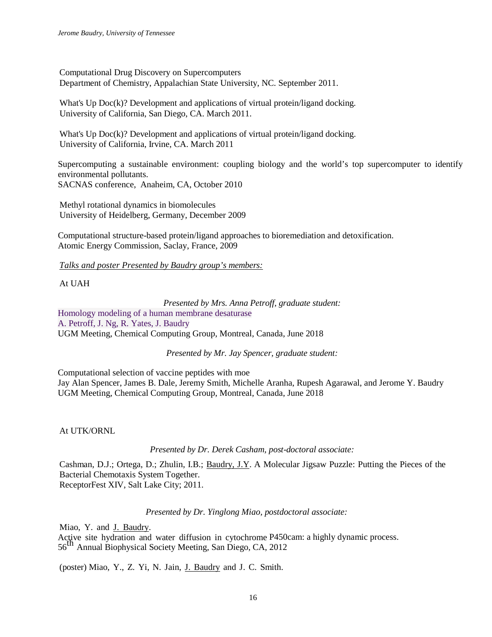Computational Drug Discovery on Supercomputers Department of Chemistry, Appalachian State University, NC. September 2011.

What's Up Doc(k)? Development and applications of virtual protein/ligand docking. University of California, San Diego, CA. March 2011.

What's Up Doc(k)? Development and applications of virtual protein/ligand docking. University of California, Irvine, CA. March 2011

Supercomputing a sustainable environment: coupling biology and the world's top supercomputer to identify environmental pollutants. SACNAS conference, Anaheim, CA, October 2010

Methyl rotational dynamics in biomolecules University of Heidelberg, Germany, December 2009

Computational structure-based protein/ligand approaches to bioremediation and detoxification. Atomic Energy Commission, Saclay, France, 2009

*Talks and poster Presented by Baudry group's members:*

At UAH

*Presented by Mrs. Anna Petroff, graduate student:*

Homology modeling of a human membrane desaturase A. Petroff, J. Ng, R. Yates, J. Baudry UGM Meeting, Chemical Computing Group, Montreal, Canada, June 2018

*Presented by Mr. Jay Spencer, graduate student:*

Computational selection of vaccine peptides with moe Jay Alan Spencer, James B. Dale, Jeremy Smith, Michelle Aranha, Rupesh Agarawal, and Jerome Y. Baudry UGM Meeting, Chemical Computing Group, Montreal, Canada, June 2018

At UTK/ORNL

*Presented by Dr. Derek Casham, post-doctoral associate:*

Cashman, D.J.; Ortega, D.; Zhulin, I.B.; Baudry, J.Y. A Molecular Jigsaw Puzzle: Putting the Pieces of the Bacterial Chemotaxis System Together. ReceptorFest XIV, Salt Lake City; 2011.

*Presented by Dr. Yinglong Miao, postdoctoral associate:*

Miao, Y. and J. Baudry.

Active site hydration and water diffusion in cytochrome P450cam: a highly dynamic process. <sup>56</sup>th Annual Biophysical Society Meeting, San Diego, CA, <sup>2012</sup>

(poster) Miao, Y., Z. Yi, N. Jain, J. Baudry and J. C. Smith.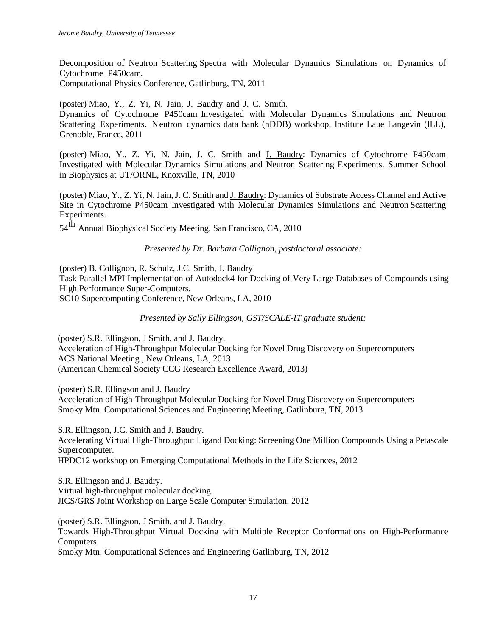Decomposition of Neutron Scattering Spectra with Molecular Dynamics Simulations on Dynamics of Cytochrome P450cam.

Computational Physics Conference, Gatlinburg, TN, 2011

(poster) Miao, Y., Z. Yi, N. Jain, J. Baudry and J. C. Smith.

Dynamics of Cytochrome P450cam Investigated with Molecular Dynamics Simulations and Neutron Scattering Experiments. Neutron dynamics data bank (nDDB) workshop, Institute Laue Langevin (ILL), Grenoble, France, 2011

(poster) Miao, Y., Z. Yi, N. Jain, J. C. Smith and J. Baudry: Dynamics of Cytochrome P450cam Investigated with Molecular Dynamics Simulations and Neutron Scattering Experiments. Summer School in Biophysics at UT/ORNL, Knoxville, TN, 2010

(poster) Miao, Y., Z. Yi, N. Jain, J. C. Smith and J. Baudry: Dynamics of Substrate Access Channel and Active Site in Cytochrome P450cam Investigated with Molecular Dynamics Simulations and Neutron Scattering Experiments.

54<sup>th</sup> Annual Biophysical Society Meeting, San Francisco, CA, 2010

*Presented by Dr. Barbara Collignon, postdoctoral associate:*

(poster) B. Collignon, R. Schulz, J.C. Smith, J. Baudry Task-Parallel MPI Implementation of Autodock4 for Docking of Very Large Databases of Compounds using High Performance Super-Computers. SC10 Supercomputing Conference, New Orleans, LA, 2010

*Presented by Sally Ellingson, GST/SCALE-IT graduate student:*

(poster) S.R. Ellingson, J Smith, and J. Baudry. Acceleration of High-Throughput Molecular Docking for Novel Drug Discovery on Supercomputers ACS National Meeting , New Orleans, LA, 2013 (American Chemical Society CCG Research Excellence Award, 2013)

(poster) S.R. Ellingson and J. Baudry

Acceleration of High-Throughput Molecular Docking for Novel Drug Discovery on Supercomputers Smoky Mtn. Computational Sciences and Engineering Meeting, Gatlinburg, TN, 2013

S.R. Ellingson, J.C. Smith and J. Baudry. Accelerating Virtual High-Throughput Ligand Docking: Screening One Million Compounds Using a Petascale Supercomputer. HPDC12 workshop on Emerging Computational Methods in the Life Sciences, 2012

S.R. Ellingson and J. Baudry. Virtual high-throughput molecular docking. JICS/GRS Joint Workshop on Large Scale Computer Simulation, 2012

(poster) S.R. Ellingson, J Smith, and J. Baudry. Towards High-Throughput Virtual Docking with Multiple Receptor Conformations on High-Performance Computers.

Smoky Mtn. Computational Sciences and Engineering Gatlinburg, TN, 2012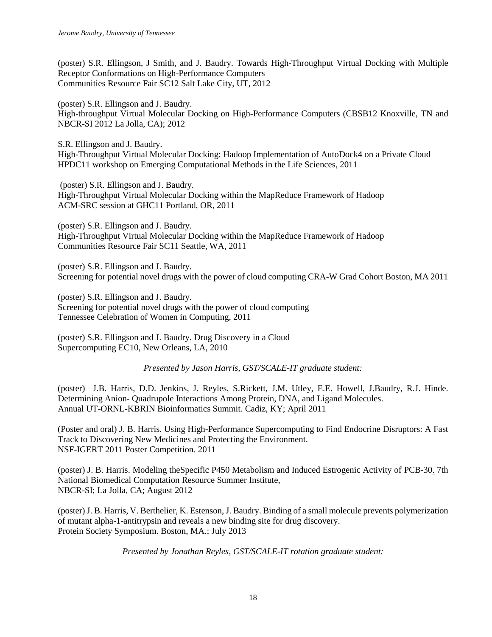(poster) S.R. Ellingson, J Smith, and J. Baudry. Towards High-Throughput Virtual Docking with Multiple Receptor Conformations on High-Performance Computers Communities Resource Fair SC12 Salt Lake City, UT, 2012

(poster) S.R. Ellingson and J. Baudry. High-throughput Virtual Molecular Docking on High-Performance Computers (CBSB12 Knoxville, TN and NBCR-SI 2012 La Jolla, CA); 2012

S.R. Ellingson and J. Baudry. High-Throughput Virtual Molecular Docking: Hadoop Implementation of AutoDock4 on a Private Cloud HPDC11 workshop on Emerging Computational Methods in the Life Sciences, 2011

(poster) S.R. Ellingson and J. Baudry. High-Throughput Virtual Molecular Docking within the MapReduce Framework of Hadoop ACM-SRC session at GHC11 Portland, OR, 2011

(poster) S.R. Ellingson and J. Baudry. High-Throughput Virtual Molecular Docking within the MapReduce Framework of Hadoop Communities Resource Fair SC11 Seattle, WA, 2011

(poster) S.R. Ellingson and J. Baudry. Screening for potential novel drugs with the power of cloud computing CRA-W Grad Cohort Boston, MA 2011

(poster) S.R. Ellingson and J. Baudry. Screening for potential novel drugs with the power of cloud computing Tennessee Celebration of Women in Computing, 2011

(poster) S.R. Ellingson and J. Baudry. Drug Discovery in a Cloud Supercomputing EC10, New Orleans, LA, 2010

*Presented by Jason Harris, GST/SCALE-IT graduate student:*

(poster) J.B. Harris, D.D. Jenkins, J. Reyles, S.Rickett, J.M. Utley, E.E. Howell, J.Baudry, R.J. Hinde. Determining Anion- Quadrupole Interactions Among Protein, DNA, and Ligand Molecules. Annual UT-ORNL-KBRIN Bioinformatics Summit. Cadiz, KY; April 2011

(Poster and oral) J. B. Harris. Using High-Performance Supercomputing to Find Endocrine Disruptors: A Fast Track to Discovering New Medicines and Protecting the Environment. NSF-IGERT 2011 Poster Competition. 2011

(poster) J. B. Harris. Modeling theSpecific P450 Metabolism and Induced Estrogenic Activity of PCB-30. 7th National Biomedical Computation Resource Summer Institute, NBCR-SI; La Jolla, CA; August 2012

(poster) J. B. Harris, V. Berthelier, K. Estenson, J. Baudry. Binding of a small molecule prevents polymerization of mutant alpha-1-antitrypsin and reveals a new binding site for drug discovery. Protein Society Symposium. Boston, MA.; July 2013

*Presented by Jonathan Reyles, GST/SCALE-IT rotation graduate student:*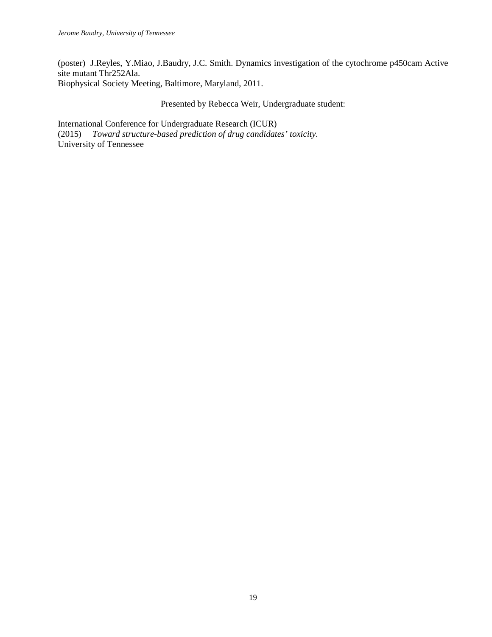(poster) J.Reyles, Y.Miao, J.Baudry, J.C. Smith. Dynamics investigation of the cytochrome p450cam Active site mutant Thr252Ala. Biophysical Society Meeting, Baltimore, Maryland, 2011.

Presented by Rebecca Weir, Undergraduate student:

International Conference for Undergraduate Research (ICUR) (2015) *Toward structure-based prediction of drug candidates' toxicity.* University of Tennessee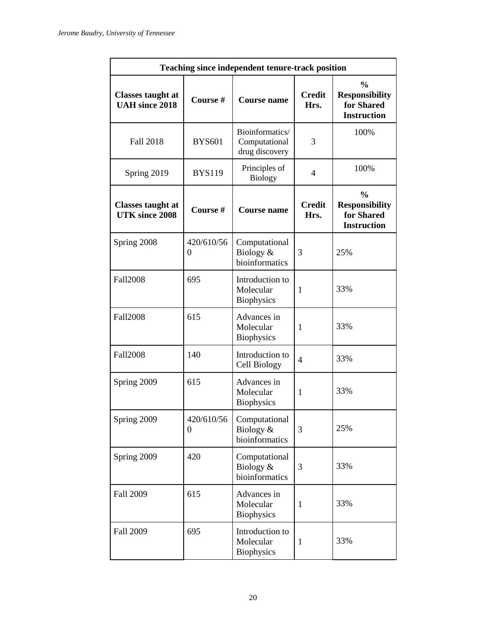| <b>Teaching since independent tenure-track position</b> |                              |                                                    |                       |                                                                            |  |
|---------------------------------------------------------|------------------------------|----------------------------------------------------|-----------------------|----------------------------------------------------------------------------|--|
| <b>Classes taught at</b><br><b>UAH</b> since 2018       | Course#                      | <b>Course name</b>                                 | <b>Credit</b><br>Hrs. | $\frac{0}{0}$<br><b>Responsibility</b><br>for Shared<br><b>Instruction</b> |  |
| <b>Fall 2018</b>                                        | <b>BYS601</b>                | Bioinformatics/<br>Computational<br>drug discovery | 3                     | 100%                                                                       |  |
| Spring 2019                                             | <b>BYS119</b>                | Principles of<br><b>Biology</b>                    | $\overline{4}$        | 100%                                                                       |  |
| <b>Classes taught at</b><br><b>UTK</b> since 2008       | Course #                     | <b>Course name</b>                                 | <b>Credit</b><br>Hrs. | $\frac{0}{0}$<br><b>Responsibility</b><br>for Shared<br><b>Instruction</b> |  |
| Spring 2008                                             | 420/610/56<br>$\overline{0}$ | Computational<br>Biology &<br>bioinformatics       | 3                     | 25%                                                                        |  |
| <b>Fall2008</b>                                         | 695                          | Introduction to<br>Molecular<br><b>Biophysics</b>  | 1                     | 33%                                                                        |  |
| <b>Fall2008</b>                                         | 615                          | Advances in<br>Molecular<br><b>Biophysics</b>      | $\mathbf{1}$          | 33%                                                                        |  |
| <b>Fall2008</b>                                         | 140                          | Introduction to<br>Cell Biology                    | $\overline{4}$        | 33%                                                                        |  |
| Spring 2009                                             | 615                          | Advances in<br>Molecular<br><b>Biophysics</b>      | $\mathbf{1}$          | 33%                                                                        |  |
| Spring 2009                                             | 420/610/56<br>$\theta$       | Computational<br>Biology &<br>bioinformatics       | 3                     | 25%                                                                        |  |
| Spring 2009                                             | 420                          | Computational<br>Biology &<br>bioinformatics       | 3                     | 33%                                                                        |  |
| Fall 2009                                               | 615                          | Advances in<br>Molecular<br><b>Biophysics</b>      | $\mathbf{1}$          | 33%                                                                        |  |
| Fall 2009                                               | 695                          | Introduction to<br>Molecular<br><b>Biophysics</b>  | $\mathbf{1}$          | 33%                                                                        |  |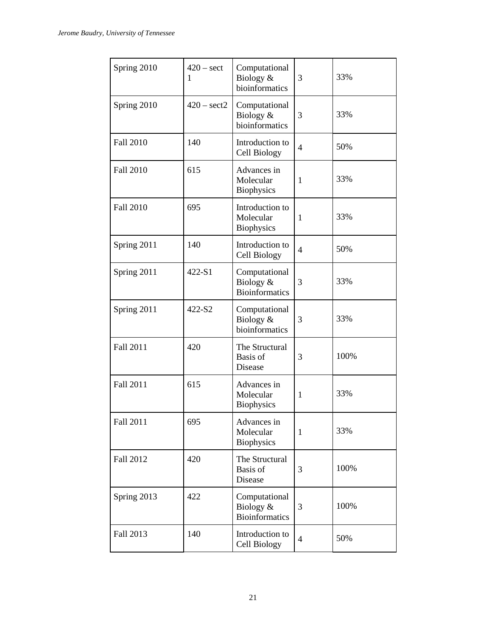| Spring 2010      | $420 - \text{sect}$<br>1 | Computational<br>Biology &<br>bioinformatics        | 3              | 33%  |
|------------------|--------------------------|-----------------------------------------------------|----------------|------|
| Spring 2010      | $420 - \text{sect2}$     | Computational<br>Biology &<br>bioinformatics        | 3              | 33%  |
| Fall 2010        | 140                      | Introduction to<br>Cell Biology                     | $\overline{4}$ | 50%  |
| <b>Fall 2010</b> | 615                      | Advances in<br>Molecular<br><b>Biophysics</b>       | 1              | 33%  |
| <b>Fall 2010</b> | 695                      | Introduction to<br>Molecular<br><b>Biophysics</b>   | 1              | 33%  |
| Spring 2011      | 140                      | Introduction to<br>Cell Biology                     | $\overline{4}$ | 50%  |
| Spring 2011      | 422-S1                   | Computational<br>Biology &<br><b>Bioinformatics</b> | 3              | 33%  |
| Spring 2011      | 422-S2                   | Computational<br>Biology &<br>bioinformatics        | 3              | 33%  |
| Fall 2011        | 420                      | The Structural<br>Basis of<br>Disease               | 3              | 100% |
| Fall 2011        | 615                      | Advances in<br>Molecular<br><b>Biophysics</b>       | 1              | 33%  |
| Fall 2011        | 695                      | Advances in<br>Molecular<br><b>Biophysics</b>       | $\mathbf{1}$   | 33%  |
| Fall 2012        | 420                      | The Structural<br><b>Basis</b> of<br>Disease        | 3              | 100% |
| Spring 2013      | 422                      | Computational<br>Biology &<br><b>Bioinformatics</b> | 3              | 100% |
| Fall 2013        | 140                      | Introduction to<br>Cell Biology                     | $\overline{4}$ | 50%  |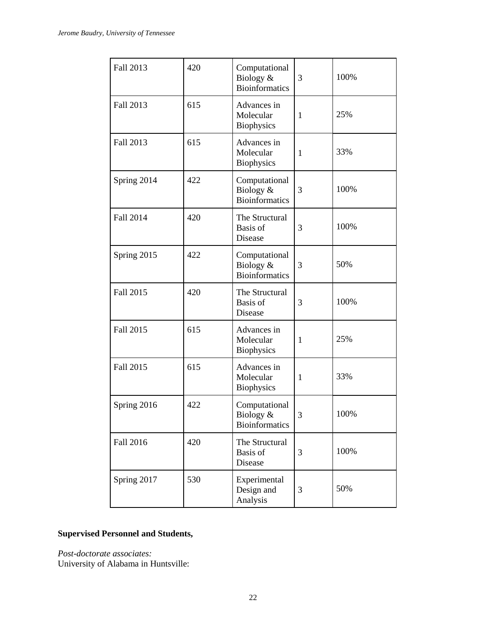| Fall 2013   | 420 | Computational<br>Biology &<br><b>Bioinformatics</b>    | 3            | 100% |
|-------------|-----|--------------------------------------------------------|--------------|------|
| Fall 2013   | 615 | Advances in<br>Molecular<br><b>Biophysics</b>          | $\mathbf{1}$ | 25%  |
| Fall 2013   | 615 | Advances in<br>Molecular<br><b>Biophysics</b>          | $\mathbf{1}$ | 33%  |
| Spring 2014 | 422 | Computational<br>Biology &<br><b>Bioinformatics</b>    | 3            | 100% |
| Fall 2014   | 420 | The Structural<br>Basis of<br>Disease                  | 3            | 100% |
| Spring 2015 | 422 | Computational<br>Biology &<br><b>Bioinformatics</b>    | 3            | 50%  |
| Fall 2015   | 420 | The Structural<br><b>Basis</b> of<br>Disease           | 3            | 100% |
| Fall 2015   | 615 | Advances in<br>Molecular<br><b>Biophysics</b>          | $\mathbf{1}$ | 25%  |
| Fall 2015   | 615 | Advances in<br>Molecular<br><b>Biophysics</b>          | $\mathbf{1}$ | 33%  |
| Spring 2016 | 422 | Computational<br>Biology $\&$<br><b>Bioinformatics</b> | 3            | 100% |
| Fall 2016   | 420 | The Structural<br>Basis of<br>Disease                  | 3            | 100% |
| Spring 2017 | 530 | Experimental<br>Design and<br>Analysis                 | 3            | 50%  |

# **Supervised Personnel and Students,**

*Post-doctorate associates:* 

University of Alabama in Huntsville: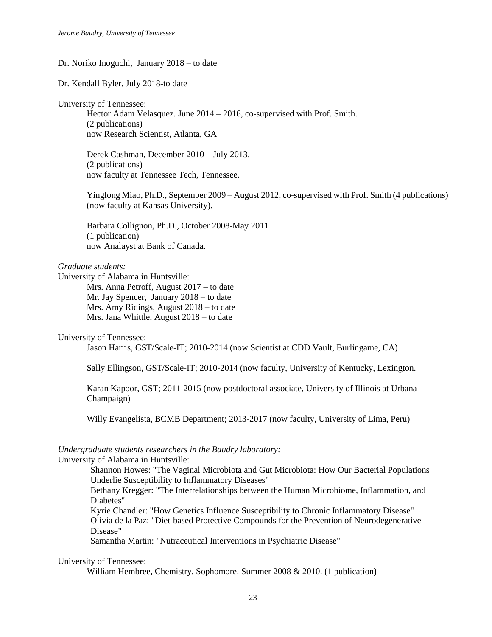#### Dr. Noriko Inoguchi, January 2018 – to date

Dr. Kendall Byler, July 2018-to date

University of Tennessee:

Hector Adam Velasquez. June 2014 – 2016, co-supervised with Prof. Smith. (2 publications) now Research Scientist, Atlanta, GA

Derek Cashman, December 2010 – July 2013. (2 publications) now faculty at Tennessee Tech, Tennessee.

Yinglong Miao, Ph.D., September 2009 – August 2012, co-supervised with Prof. Smith (4 publications) (now faculty at Kansas University).

Barbara Collignon, Ph.D., October 2008-May 2011 (1 publication) now Analayst at Bank of Canada.

#### *Graduate students:*

University of Alabama in Huntsville:

Mrs. Anna Petroff, August 2017 – to date Mr. Jay Spencer, January 2018 – to date Mrs. Amy Ridings, August 2018 – to date Mrs. Jana Whittle, August 2018 – to date

#### University of Tennessee:

Jason Harris, GST/Scale-IT; 2010-2014 (now Scientist at CDD Vault, Burlingame, CA)

Sally Ellingson, GST/Scale-IT; 2010-2014 (now faculty, University of Kentucky, Lexington.

Karan Kapoor, GST; 2011-2015 (now postdoctoral associate, University of Illinois at Urbana Champaign)

Willy Evangelista, BCMB Department; 2013-2017 (now faculty, University of Lima, Peru)

#### *Undergraduate students researchers in the Baudry laboratory:*

University of Alabama in Huntsville:

Shannon Howes: "The Vaginal Microbiota and Gut Microbiota: How Our Bacterial Populations Underlie Susceptibility to Inflammatory Diseases"

Bethany Kregger: "The Interrelationships between the Human Microbiome, Inflammation, and Diabetes"

Kyrie Chandler: "How Genetics Influence Susceptibility to Chronic Inflammatory Disease" Olivia de la Paz: "Diet-based Protective Compounds for the Prevention of Neurodegenerative Disease"

Samantha Martin: "Nutraceutical Interventions in Psychiatric Disease"

#### University of Tennessee:

William Hembree, Chemistry. Sophomore. Summer 2008 & 2010. (1 publication)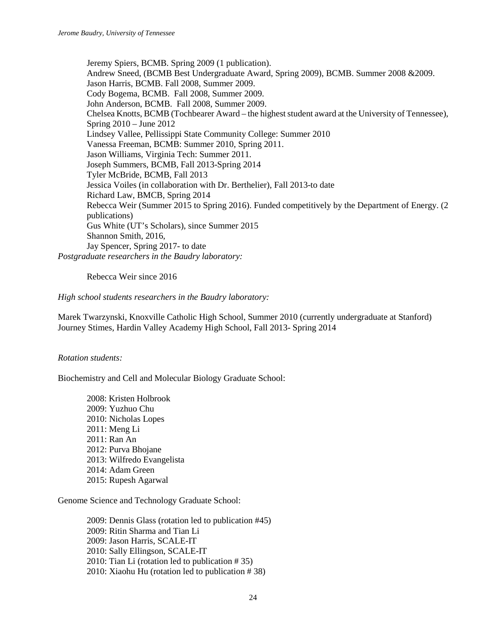Jeremy Spiers, BCMB. Spring 2009 (1 publication). Andrew Sneed, (BCMB Best Undergraduate Award, Spring 2009), BCMB. Summer 2008 &2009. Jason Harris, BCMB. Fall 2008, Summer 2009. Cody Bogema, BCMB. Fall 2008, Summer 2009. John Anderson, BCMB. Fall 2008, Summer 2009. Chelsea Knotts, BCMB (Tochbearer Award – the highest student award at the University of Tennessee), Spring 2010 – June 2012 Lindsey Vallee, Pellissippi State Community College: Summer 2010 Vanessa Freeman, BCMB: Summer 2010, Spring 2011. Jason Williams, Virginia Tech: Summer 2011. Joseph Summers, BCMB, Fall 2013-Spring 2014 Tyler McBride, BCMB, Fall 2013 Jessica Voiles (in collaboration with Dr. Berthelier), Fall 2013-to date Richard Law, BMCB, Spring 2014 Rebecca Weir (Summer 2015 to Spring 2016). Funded competitively by the Department of Energy. (2 publications) Gus White (UT's Scholars), since Summer 2015 Shannon Smith, 2016, Jay Spencer, Spring 2017- to date *Postgraduate researchers in the Baudry laboratory:*

Rebecca Weir since 2016

*High school students researchers in the Baudry laboratory:*

Marek Twarzynski, Knoxville Catholic High School, Summer 2010 (currently undergraduate at Stanford) Journey Stimes, Hardin Valley Academy High School, Fall 2013- Spring 2014

## *Rotation students:*

Biochemistry and Cell and Molecular Biology Graduate School:

2008: Kristen Holbrook 2009: Yuzhuo Chu 2010: Nicholas Lopes 2011: Meng Li 2011: Ran An 2012: Purva Bhojane 2013: Wilfredo Evangelista 2014: Adam Green 2015: Rupesh Agarwal

Genome Science and Technology Graduate School:

2009: Dennis Glass (rotation led to publication #45) 2009: Ritin Sharma and Tian Li 2009: Jason Harris, SCALE-IT 2010: Sally Ellingson, SCALE-IT 2010: Tian Li (rotation led to publication # 35) 2010: Xiaohu Hu (rotation led to publication # 38)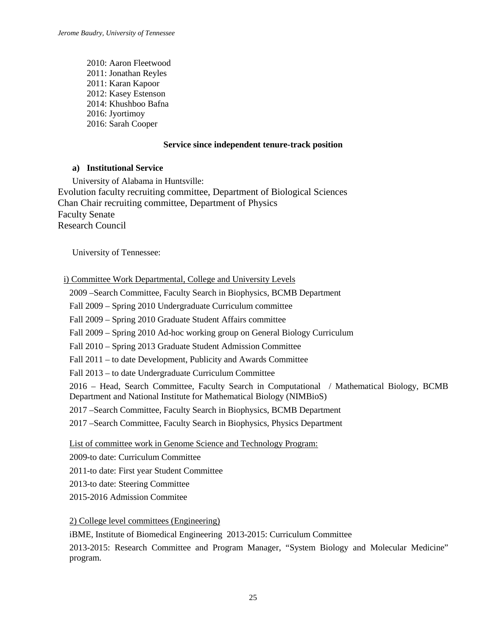2010: Aaron Fleetwood 2011: Jonathan Reyles 2011: Karan Kapoor 2012: Kasey Estenson 2014: Khushboo Bafna 2016: Jyortimoy 2016: Sarah Cooper

# **Service since independent tenure-track position**

# **a) Institutional Service**

University of Alabama in Huntsville: Evolution faculty recruiting committee, Department of Biological Sciences Chan Chair recruiting committee, Department of Physics Faculty Senate Research Council

University of Tennessee:

# i) Committee Work Departmental, College and University Levels

2009 –Search Committee, Faculty Search in Biophysics, BCMB Department

Fall 2009 – Spring 2010 Undergraduate Curriculum committee

Fall 2009 – Spring 2010 Graduate Student Affairs committee

Fall 2009 – Spring 2010 Ad-hoc working group on General Biology Curriculum

Fall 2010 – Spring 2013 Graduate Student Admission Committee

Fall 2011 – to date Development, Publicity and Awards Committee

Fall 2013 – to date Undergraduate Curriculum Committee

2016 – Head, Search Committee, Faculty Search in Computational / Mathematical Biology, BCMB Department and National Institute for Mathematical Biology (NIMBioS)

2017 –Search Committee, Faculty Search in Biophysics, BCMB Department

2017 –Search Committee, Faculty Search in Biophysics, Physics Department

List of committee work in Genome Science and Technology Program:

2009-to date: Curriculum Committee

2011-to date: First year Student Committee

2013-to date: Steering Committee

2015-2016 Admission Commitee

2) College level committees (Engineering)

iBME, Institute of Biomedical Engineering 2013-2015: Curriculum Committee

2013-2015: Research Committee and Program Manager, "System Biology and Molecular Medicine" program.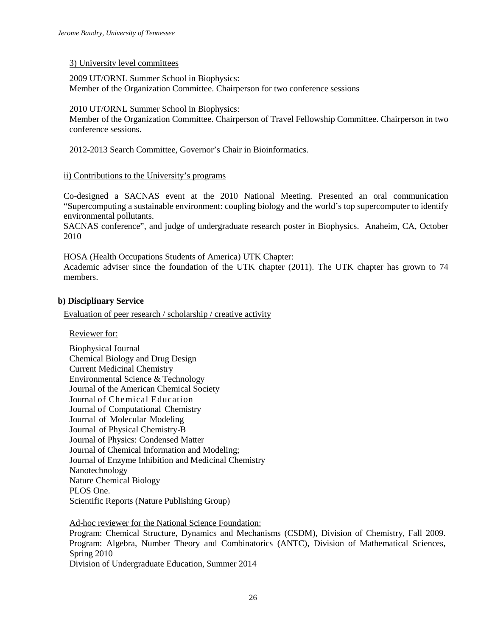#### 3) University level committees

2009 UT/ORNL Summer School in Biophysics: Member of the Organization Committee. Chairperson for two conference sessions

#### 2010 UT/ORNL Summer School in Biophysics:

Member of the Organization Committee. Chairperson of Travel Fellowship Committee. Chairperson in two conference sessions.

2012-2013 Search Committee, Governor's Chair in Bioinformatics.

#### ii) Contributions to the University's programs

Co-designed a SACNAS event at the 2010 National Meeting. Presented an oral communication "Supercomputing a sustainable environment: coupling biology and the world's top supercomputer to identify environmental pollutants.

SACNAS conference", and judge of undergraduate research poster in Biophysics. Anaheim, CA, October 2010

HOSA (Health Occupations Students of America) UTK Chapter:

Academic adviser since the foundation of the UTK chapter (2011). The UTK chapter has grown to 74 members.

#### **b) Disciplinary Service**

Evaluation of peer research / scholarship / creative activity

Reviewer for:

Biophysical Journal Chemical Biology and Drug Design Current Medicinal Chemistry Environmental Science & Technology Journal of the American Chemical Society Journal of Chemical Education Journal of Computational Chemistry Journal of Molecular Modeling Journal of Physical Chemistry-B Journal of Physics: Condensed Matter Journal of Chemical Information and Modeling; Journal of Enzyme Inhibition and Medicinal Chemistry Nanotechnology Nature Chemical Biology PLOS One. Scientific Reports (Nature Publishing Group)

Ad-hoc reviewer for the National Science Foundation:

Program: Chemical Structure, Dynamics and Mechanisms (CSDM), Division of Chemistry, Fall 2009. Program: Algebra, Number Theory and Combinatorics (ANTC), Division of Mathematical Sciences, Spring 2010

Division of Undergraduate Education, Summer 2014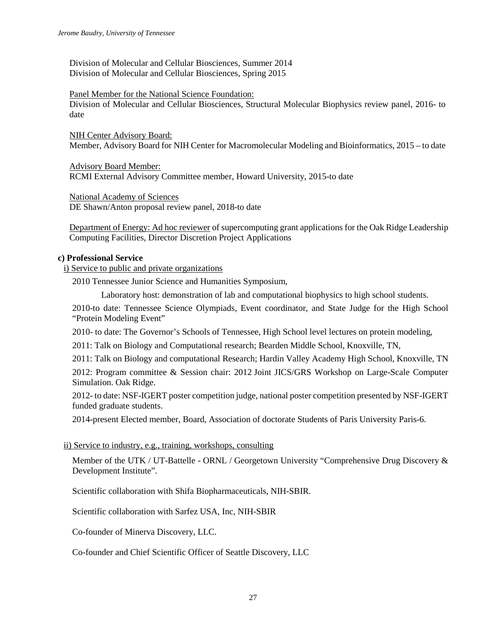Division of Molecular and Cellular Biosciences, Summer 2014 Division of Molecular and Cellular Biosciences, Spring 2015

#### Panel Member for the National Science Foundation:

Division of Molecular and Cellular Biosciences, Structural Molecular Biophysics review panel, 2016- to date

NIH Center Advisory Board: Member, Advisory Board for NIH Center for Macromolecular Modeling and Bioinformatics, 2015 – to date

Advisory Board Member: RCMI External Advisory Committee member, Howard University, 2015-to date

National Academy of Sciences DE Shawn/Anton proposal review panel, 2018-to date

Department of Energy: Ad hoc reviewer of supercomputing grant applications for the Oak Ridge Leadership Computing Facilities, Director Discretion Project Applications

#### **c) Professional Service**

i) Service to public and private organizations

2010 Tennessee Junior Science and Humanities Symposium,

Laboratory host: demonstration of lab and computational biophysics to high school students.

2010-to date: Tennessee Science Olympiads, Event coordinator, and State Judge for the High School "Protein Modeling Event"

2010- to date: The Governor's Schools of Tennessee, High School level lectures on protein modeling,

2011: Talk on Biology and Computational research; Bearden Middle School, Knoxville, TN,

2011: Talk on Biology and computational Research; Hardin Valley Academy High School, Knoxville, TN 2012: Program committee & Session chair: 2012 Joint JICS/GRS Workshop on Large-Scale Computer Simulation. Oak Ridge.

2012- to date: NSF-IGERT poster competition judge, national poster competition presented by NSF-IGERT funded graduate students.

2014-present Elected member, Board, Association of doctorate Students of Paris University Paris-6.

## ii) Service to industry, e.g., training, workshops, consulting

Member of the UTK / UT-Battelle - ORNL / Georgetown University "Comprehensive Drug Discovery & Development Institute".

Scientific collaboration with Shifa Biopharmaceuticals, NIH-SBIR.

Scientific collaboration with Sarfez USA, Inc, NIH-SBIR

Co-founder of Minerva Discovery, LLC.

Co-founder and Chief Scientific Officer of Seattle Discovery, LLC